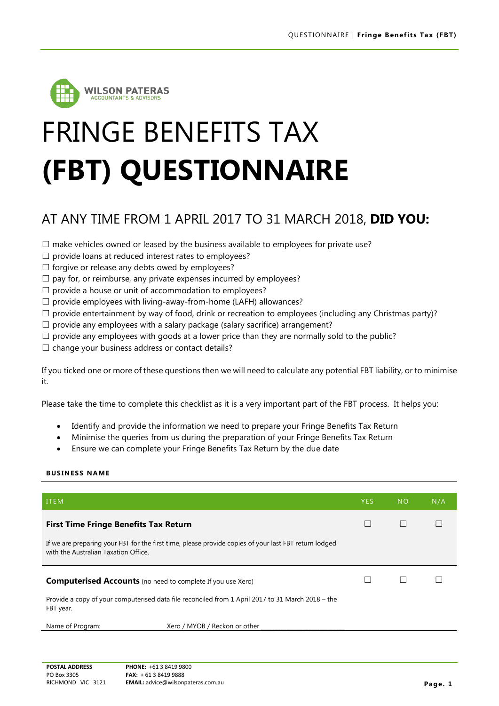

# FRINGE BENEFITS TAX **(FBT) QUESTIONNAIRE**

## AT ANY TIME FROM 1 APRIL 2017 TO 31 MARCH 2018, **DID YOU:**

 $\Box$  make vehicles owned or leased by the business available to employees for private use?

- $\Box$  provide loans at reduced interest rates to employees?
- $\Box$  forgive or release any debts owed by employees?
- $\Box$  pay for, or reimburse, any private expenses incurred by employees?
- $\Box$  provide a house or unit of accommodation to employees?
- $\Box$  provide employees with living-away-from-home (LAFH) allowances?
- $\Box$  provide entertainment by way of food, drink or recreation to employees (including any Christmas party)?
- $\Box$  provide any employees with a salary package (salary sacrifice) arrangement?
- $\Box$  provide any employees with goods at a lower price than they are normally sold to the public?
- $\Box$  change your business address or contact details?

If you ticked one or more of these questions then we will need to calculate any potential FBT liability, or to minimise it.

Please take the time to complete this checklist as it is a very important part of the FBT process. It helps you:

- Identify and provide the information we need to prepare your Fringe Benefits Tax Return
- Minimise the queries from us during the preparation of your Fringe Benefits Tax Return
- Ensure we can complete your Fringe Benefits Tax Return by the due date

#### **BUSINESS NAME**

| <b>ITEM</b>                                                                                                    |                                                                                                       | <b>YES</b> | <b>NO</b> | N/A |
|----------------------------------------------------------------------------------------------------------------|-------------------------------------------------------------------------------------------------------|------------|-----------|-----|
| <b>First Time Fringe Benefits Tax Return</b>                                                                   |                                                                                                       |            |           |     |
| with the Australian Taxation Office.                                                                           | If we are preparing your FBT for the first time, please provide copies of your last FBT return lodged |            |           |     |
| <b>Computerised Accounts</b> (no need to complete If you use Xero)                                             |                                                                                                       |            |           |     |
| Provide a copy of your computerised data file reconciled from 1 April 2017 to 31 March 2018 – the<br>FBT year. |                                                                                                       |            |           |     |
| Name of Program:                                                                                               | Xero / MYOB / Reckon or other                                                                         |            |           |     |
|                                                                                                                |                                                                                                       |            |           |     |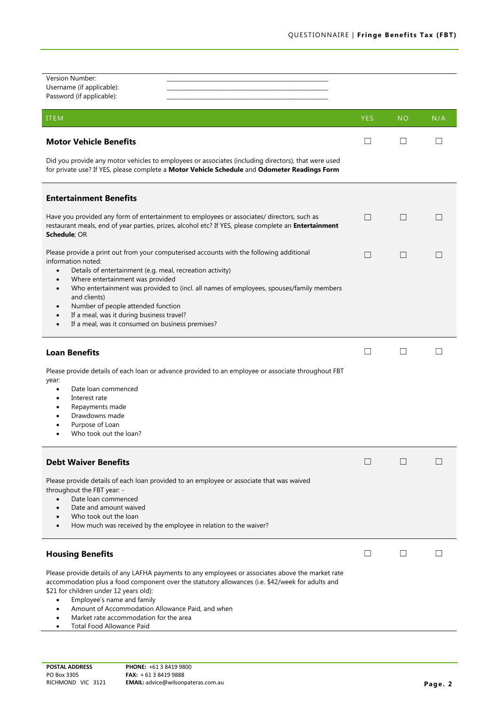| Version Number:<br>Username (if applicable):<br>Password (if applicable):                                                                                                                                                                                                                                                                                                                          |              |           |     |
|----------------------------------------------------------------------------------------------------------------------------------------------------------------------------------------------------------------------------------------------------------------------------------------------------------------------------------------------------------------------------------------------------|--------------|-----------|-----|
| <b>ITEM</b>                                                                                                                                                                                                                                                                                                                                                                                        | <b>YES</b>   | <b>NO</b> | N/A |
| <b>Motor Vehicle Benefits</b>                                                                                                                                                                                                                                                                                                                                                                      | ப            | Ш         | H   |
| Did you provide any motor vehicles to employees or associates (including directors), that were used<br>for private use? If YES, please complete a Motor Vehicle Schedule and Odometer Readings Form                                                                                                                                                                                                |              |           |     |
| <b>Entertainment Benefits</b>                                                                                                                                                                                                                                                                                                                                                                      |              |           |     |
| Have you provided any form of entertainment to employees or associates/ directors, such as<br>restaurant meals, end of year parties, prizes, alcohol etc? If YES, please complete an Entertainment<br>Schedule; OR                                                                                                                                                                                 | $\Box$       | $\Box$    |     |
| Please provide a print out from your computerised accounts with the following additional<br>information noted:<br>Details of entertainment (e.g. meal, recreation activity)<br>$\bullet$                                                                                                                                                                                                           | $\Box$       | $\Box$    |     |
| Where entertainment was provided<br>$\bullet$<br>Who entertainment was provided to (incl. all names of employees, spouses/family members<br>$\bullet$<br>and clients)<br>Number of people attended function<br>٠<br>If a meal, was it during business travel?<br>If a meal, was it consumed on business premises?<br>$\bullet$                                                                     |              |           |     |
| <b>Loan Benefits</b>                                                                                                                                                                                                                                                                                                                                                                               | $\mathsf{L}$ | $\Box$    |     |
| Please provide details of each loan or advance provided to an employee or associate throughout FBT<br>year:<br>Date loan commenced<br>$\bullet$<br>Interest rate<br>Repayments made<br>Drawdowns made<br>Purpose of Loan<br>Who took out the loan?                                                                                                                                                 |              |           |     |
| <b>Debt Waiver Benefits</b>                                                                                                                                                                                                                                                                                                                                                                        | $\Box$       | $\Box$    |     |
| Please provide details of each loan provided to an employee or associate that was waived<br>throughout the FBT year: -<br>Date loan commenced<br>$\bullet$<br>Date and amount waived<br>Who took out the loan<br>How much was received by the employee in relation to the waiver?<br>$\bullet$                                                                                                     |              |           |     |
| <b>Housing Benefits</b>                                                                                                                                                                                                                                                                                                                                                                            | $\Box$       |           |     |
| Please provide details of any LAFHA payments to any employees or associates above the market rate<br>accommodation plus a food component over the statutory allowances (i.e. \$42/week for adults and<br>\$21 for children under 12 years old):<br>Employee's name and family<br>$\bullet$<br>Amount of Accommodation Allowance Paid, and when<br>٠<br>Market rate accommodation for the area<br>٠ |              |           |     |

• Total Food Allowance Paid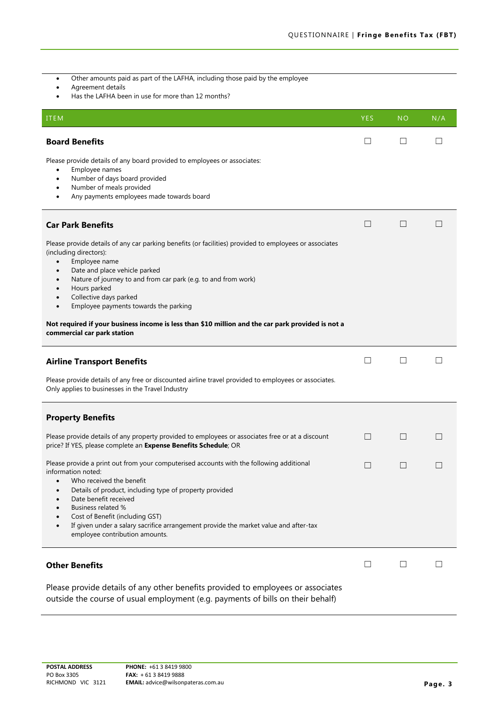- Other amounts paid as part of the LAFHA, including those paid by the employee
- Agreement details
- Has the LAFHA been in use for more than 12 months?

| <b>ITEM</b>                                                                                                                                                                                                                                                                                                                                                                                                              | <b>YES</b>   | <b>NO</b> | N/A          |
|--------------------------------------------------------------------------------------------------------------------------------------------------------------------------------------------------------------------------------------------------------------------------------------------------------------------------------------------------------------------------------------------------------------------------|--------------|-----------|--------------|
| <b>Board Benefits</b>                                                                                                                                                                                                                                                                                                                                                                                                    | $\mathsf{L}$ | $\Box$    |              |
| Please provide details of any board provided to employees or associates:<br>Employee names<br>$\bullet$<br>Number of days board provided<br>٠<br>Number of meals provided<br>Any payments employees made towards board<br>٠                                                                                                                                                                                              |              |           |              |
| <b>Car Park Benefits</b>                                                                                                                                                                                                                                                                                                                                                                                                 | $\Box$       | $\sqcup$  | ш            |
| Please provide details of any car parking benefits (or facilities) provided to employees or associates<br>(including directors):<br>Employee name<br>$\bullet$<br>Date and place vehicle parked<br>Nature of journey to and from car park (e.g. to and from work)<br>Hours parked<br>Collective days parked<br>$\bullet$<br>Employee payments towards the parking<br>$\bullet$                                           |              |           |              |
| Not required if your business income is less than \$10 million and the car park provided is not a<br>commercial car park station                                                                                                                                                                                                                                                                                         |              |           |              |
| <b>Airline Transport Benefits</b>                                                                                                                                                                                                                                                                                                                                                                                        | Ш            | $\Box$    | П            |
| Please provide details of any free or discounted airline travel provided to employees or associates.<br>Only applies to businesses in the Travel Industry                                                                                                                                                                                                                                                                |              |           |              |
| <b>Property Benefits</b>                                                                                                                                                                                                                                                                                                                                                                                                 |              |           |              |
| Please provide details of any property provided to employees or associates free or at a discount<br>price? If YES, please complete an Expense Benefits Schedule; OR                                                                                                                                                                                                                                                      | $\Box$       | $\Box$    |              |
| Please provide a print out from your computerised accounts with the following additional<br>information noted:<br>Who received the benefit<br>Details of product, including type of property provided<br>Date benefit received<br><b>Business related %</b><br>Cost of Benefit (including GST)<br>If given under a salary sacrifice arrangement provide the market value and after-tax<br>employee contribution amounts. | $\Box$       | $\Box$    | ш            |
| <b>Other Benefits</b>                                                                                                                                                                                                                                                                                                                                                                                                    | $\perp$      |           | $\mathsf{L}$ |
| Please provide details of any other benefits provided to employees or associates<br>outside the course of usual employment (e.g. payments of bills on their behalf)                                                                                                                                                                                                                                                      |              |           |              |